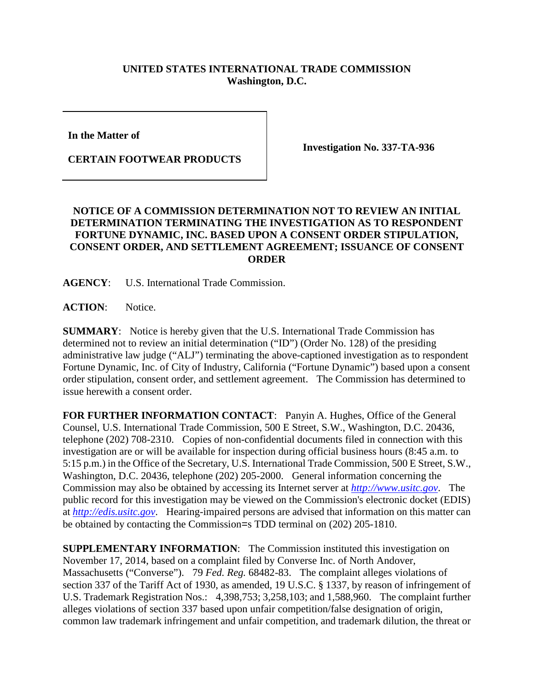## **UNITED STATES INTERNATIONAL TRADE COMMISSION Washington, D.C.**

**In the Matter of**

**CERTAIN FOOTWEAR PRODUCTS**

**Investigation No. 337-TA-936**

## **NOTICE OF A COMMISSION DETERMINATION NOT TO REVIEW AN INITIAL DETERMINATION TERMINATING THE INVESTIGATION AS TO RESPONDENT FORTUNE DYNAMIC, INC. BASED UPON A CONSENT ORDER STIPULATION, CONSENT ORDER, AND SETTLEMENT AGREEMENT; ISSUANCE OF CONSENT ORDER**

**AGENCY**: U.S. International Trade Commission.

ACTION: Notice.

**SUMMARY**: Notice is hereby given that the U.S. International Trade Commission has determined not to review an initial determination ("ID") (Order No. 128) of the presiding administrative law judge ("ALJ") terminating the above-captioned investigation as to respondent Fortune Dynamic, Inc. of City of Industry, California ("Fortune Dynamic") based upon a consent order stipulation, consent order, and settlement agreement. The Commission has determined to issue herewith a consent order.

**FOR FURTHER INFORMATION CONTACT**: Panyin A. Hughes, Office of the General Counsel, U.S. International Trade Commission, 500 E Street, S.W., Washington, D.C. 20436, telephone (202) 708-2310. Copies of non-confidential documents filed in connection with this investigation are or will be available for inspection during official business hours (8:45 a.m. to 5:15 p.m.) in the Office of the Secretary, U.S. International Trade Commission, 500 E Street, S.W., Washington, D.C. 20436, telephone (202) 205-2000. General information concerning the Commission may also be obtained by accessing its Internet server at *[http://www.usitc.gov](http://www.usitc.gov/)*. The public record for this investigation may be viewed on the Commission's electronic docket (EDIS) at *[http://edis.usitc.gov](http://edis.usitc.gov/)*. Hearing-impaired persons are advised that information on this matter can be obtained by contacting the Commission=s TDD terminal on (202) 205-1810.

**SUPPLEMENTARY INFORMATION**: The Commission instituted this investigation on November 17, 2014, based on a complaint filed by Converse Inc. of North Andover, Massachusetts ("Converse"). 79 *Fed. Reg.* 68482-83. The complaint alleges violations of section 337 of the Tariff Act of 1930, as amended, 19 U.S.C. § 1337, by reason of infringement of U.S. Trademark Registration Nos.: 4,398,753; 3,258,103; and 1,588,960. The complaint further alleges violations of section 337 based upon unfair competition/false designation of origin, common law trademark infringement and unfair competition, and trademark dilution, the threat or